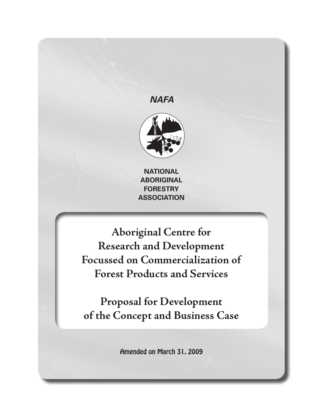## *NAFA*



**NATIONAL ABORIGINAL FORESTRY ASSOCIATION**

**ASSOCIATION Aboriginal Centre for**  $\mathbf{F}$ **Research and Development Focussed on Commercialization of Forest Products and Services**

**Proposal for Development of the Concept and Business Case**

Amended on March 31, 2009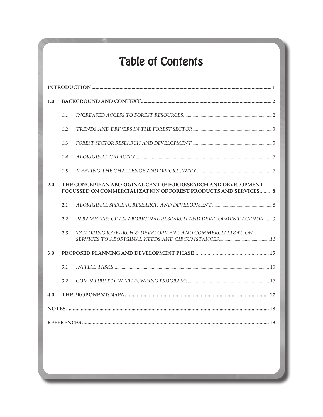# Table of Contents

| 1.0 |                                                                                                                                   |                                                                |  |
|-----|-----------------------------------------------------------------------------------------------------------------------------------|----------------------------------------------------------------|--|
|     | 1.1                                                                                                                               |                                                                |  |
|     | 1.2                                                                                                                               |                                                                |  |
|     | 1.3                                                                                                                               |                                                                |  |
|     | 1.4                                                                                                                               |                                                                |  |
|     | 1.5                                                                                                                               |                                                                |  |
| 2.0 | THE CONCEPT: AN ABORIGINAL CENTRE FOR RESEARCH AND DEVELOPMENT<br>FOCUSSED ON COMMERCIALIZATION OF FOREST PRODUCTS AND SERVICES 8 |                                                                |  |
|     | 2.1                                                                                                                               |                                                                |  |
|     | 2.2                                                                                                                               | PARAMETERS OF AN ABORIGINAL RESEARCH AND DEVELOPMENT AGENDA  9 |  |
|     | 2.3                                                                                                                               | TAILORING RESEARCH & DEVELOPMENT AND COMMERCIALIZATION         |  |
| 3.0 |                                                                                                                                   |                                                                |  |
|     | 3.1                                                                                                                               |                                                                |  |
|     | 3.2                                                                                                                               |                                                                |  |
| 4.0 |                                                                                                                                   |                                                                |  |
|     |                                                                                                                                   |                                                                |  |
|     |                                                                                                                                   |                                                                |  |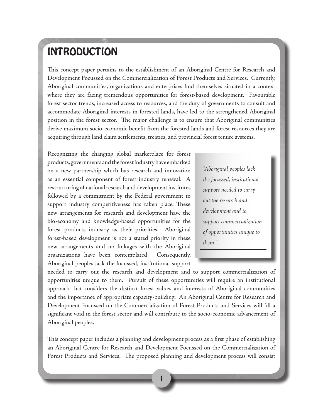## INTRODUCTION

This concept paper pertains to the establishment of an Aboriginal Centre for Research and Development Focussed on the Commercialization of Forest Products and Services. Currently, Aboriginal communities, organizations and enterprises find themselves situated in a context where they are facing tremendous opportunities for forest-based development. Favourable forest sector trends, increased access to resources, and the duty of governments to consult and accommodate Aboriginal interests in forested lands, have led to the strengthened Aboriginal position in the forest sector. The major challenge is to ensure that Aboriginal communities derive maximum socio-economic benefit from the forested lands and forest resources they are acquiring through land claim settlements, treaties, and provincial forest tenure systems.

Recognizing the changing global marketplace for forest products, governments and the forest industry have embarked on a new partnership which has research and innovation as an essential component of forest industry renewal. A restructuring of national research and development institutes followed by a commitment by the Federal government to support industry competitiveness has taken place. These new arrangements for research and development have the bio-economy and knowledge-based opportunities for the forest products industry as their priorities. Aboriginal forest-based development is not a stated priority in these new arrangements and no linkages with the Aboriginal organizations have been contemplated. Consequently, Aboriginal peoples lack the focussed, institutional support

*"Aboriginal peoples lack the focussed, institutional support needed to carry out the research and development and to support commercialization of opportunities unique to them.*"

needed to carry out the research and development and to support commercialization of opportunities unique to them. Pursuit of these opportunities will require an institutional approach that considers the distinct forest values and interests of Aboriginal communities and the importance of appropriate capacity-building. An Aboriginal Centre for Research and Development Focussed on the Commercialization of Forest Products and Services will fill a significant void in the forest sector and will contribute to the socio-economic advancement of Aboriginal peoples.

This concept paper includes a planning and development process as a first phase of establishing an Aboriginal Centre for Research and Development Focussed on the Commercialization of Forest Products and Services. The proposed planning and development process will consist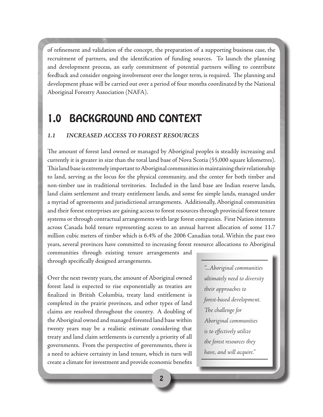of refinement and validation of the concept, the preparation of a supporting business case, the recruitment of partners, and the identification of funding sources. To launch the planning and development process, an early commitment of potential partners willing to contribute feedback and consider ongoing involvement over the longer term, is required. The planning and development phase will be carried out over a period of four months coordinated by the National Aboriginal Forestry Association (NAFA).

## 1.0 BACKGROUND AND CONTEXT

### *1.1 INCREASED ACCESS TO FOREST RESOURCES*

The amount of forest land owned or managed by Aboriginal peoples is steadily increasing and currently it is greater in size than the total land base of Nova Scotia (55,000 square kilometres). This land base is extremely important to Aboriginal communities in maintaining their relationship to land, serving as the locus for the physical community, and the center for both timber and non-timber use in traditional territories. Included in the land base are Indian reserve lands, land claim settlement and treaty entitlement lands, and some fee simple lands, managed under a myriad of agreements and jurisdictional arrangements. Additionally, Aboriginal communities and their forest enterprises are gaining access to forest resources through provincial forest tenure systems or through contractual arrangements with large forest companies. First Nation interests across Canada hold tenure representing access to an annual harvest allocation of some 11.7 million cubic meters of timber which is 6.4% of the 2006 Canadian total. Within the past two years, several provinces have committed to increasing forest resource allocations to Aboriginal

communities through existing tenure arrangements and through specifically designed arrangements.

Over the next twenty years, the amount of Aboriginal owned forest land is expected to rise exponentially as treaties are finalized in British Columbia, treaty land entitlement is completed in the prairie provinces, and other types of land claims are resolved throughout the country. A doubling of the Aboriginal owned and managed forested land base within twenty years may be a realistic estimate considering that treaty and land claim settlements is currently a priority of all governments. From the perspective of governments, there is a need to achieve certainty in land tenure, which in turn will create a climate for investment and provide economic benefits

*"...Aboriginal communities ultimately need to diversity their approaches to forest-based development. The challenge for Aboriginal communities is to effectively utilize the forest resources they have, and will acquire."*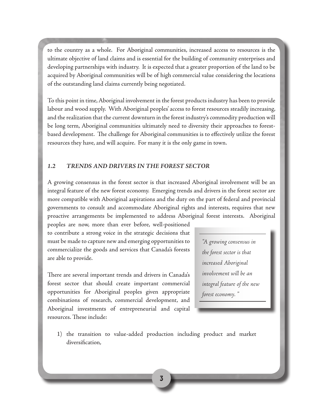to the country as a whole. For Aboriginal communities, increased access to resources is the ultimate objective of land claims and is essential for the building of community enterprises and developing partnerships with industry. It is expected that a greater proportion of the land to be acquired by Aboriginal communities will be of high commercial value considering the locations of the outstanding land claims currently being negotiated.

To this point in time, Aboriginal involvement in the forest products industry has been to provide labour and wood supply. With Aboriginal peoples' access to forest resources steadily increasing, and the realization that the current downturn in the forest industry's commodity production will be long term, Aboriginal communities ultimately need to diversity their approaches to forestbased development. The challenge for Aboriginal communities is to effectively utilize the forest resources they have, and will acquire. For many it is the only game in town.

### *1.2 TRENDS AND DRIVERS IN THE FOREST SECTOR*

A growing consensus in the forest sector is that increased Aboriginal involvement will be an integral feature of the new forest economy. Emerging trends and drivers in the forest sector are more compatible with Aboriginal aspirations and the duty on the part of federal and provincial governments to consult and accommodate Aboriginal rights and interests, requires that new proactive arrangements be implemented to address Aboriginal forest interests. Aboriginal

peoples are now, more than ever before, well-positioned to contribute a strong voice in the strategic decisions that must be made to capture new and emerging opportunities to commercialize the goods and services that Canada's forests are able to provide.

There are several important trends and drivers in Canada's forest sector that should create important commercial opportunities for Aboriginal peoples given appropriate combinations of research, commercial development, and Aboriginal investments of entrepreneurial and capital resources. These include:

*"A growing consensus in the forest sector is that increased Aboriginal involvement will be an integral feature of the new forest economy. "*

1) the transition to value-added production including product and market diversification,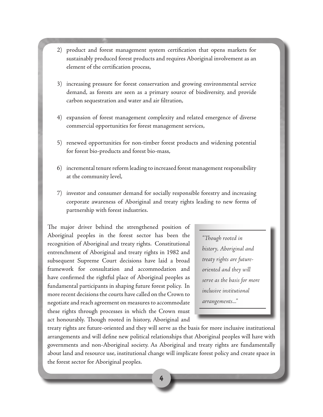- 2) product and forest management system certification that opens markets for sustainably produced forest products and requires Aboriginal involvement as an element of the certification process,
- 3) increasing pressure for forest conservation and growing environmental service demand, as forests are seen as a primary source of biodiversity, and provide carbon sequestration and water and air filtration,
- 4) expansion of forest management complexity and related emergence of diverse commercial opportunities for forest management services,
- 5) renewed opportunities for non-timber forest products and widening potential for forest bio-products and forest bio-mass,
- 6) incremental tenure reform leading to increased forest management responsibility at the community level,
- 7) investor and consumer demand for socially responsible forestry and increasing corporate awareness of Aboriginal and treaty rights leading to new forms of partnership with forest industries.

The major driver behind the strengthened position of Aboriginal peoples in the forest sector has been the recognition of Aboriginal and treaty rights. Constitutional entrenchment of Aboriginal and treaty rights in 1982 and subsequent Supreme Court decisions have laid a broad framework for consultation and accommodation and have confirmed the rightful place of Aboriginal peoples as fundamental participants in shaping future forest policy. In more recent decisions the courts have called on the Crown to negotiate and reach agreement on measures to accommodate these rights through processes in which the Crown must act honourably. Though rooted in history, Aboriginal and

*"Though rooted in history, Aboriginal and treaty rights are futureoriented and they will serve as the basis for more inclusive institutional arrangements..."*

treaty rights are future-oriented and they will serve as the basis for more inclusive institutional arrangements and will define new political relationships that Aboriginal peoples will have with governments and non-Aboriginal society. As Aboriginal and treaty rights are fundamentally about land and resource use, institutional change will implicate forest policy and create space in the forest sector for Aboriginal peoples.

4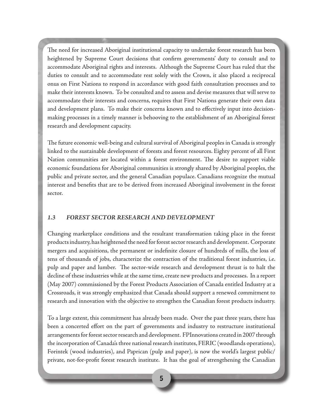The need for increased Aboriginal institutional capacity to undertake forest research has been heightened by Supreme Court decisions that confirm governments' duty to consult and to accommodate Aboriginal rights and interests. Although the Supreme Court has ruled that the duties to consult and to accommodate rest solely with the Crown, it also placed a reciprocal onus on First Nations to respond in accordance with good faith consultation processes and to make their interests known. To be consulted and to assess and devise measures that will serve to accommodate their interests and concerns, requires that First Nations generate their own data and development plans. To make their concerns known and to effectively input into decisionmaking processes in a timely manner is behooving to the establishment of an Aboriginal forest research and development capacity.

The future economic well-being and cultural survival of Aboriginal peoples in Canada is strongly linked to the sustainable development of forests and forest resources. Eighty percent of all First Nation communities are located within a forest environment. The desire to support viable economic foundations for Aboriginal communities is strongly shared by Aboriginal peoples, the public and private sector, and the general Canadian populace. Canadians recognize the mutual interest and benefits that are to be derived from increased Aboriginal involvement in the forest sector.

### *1.3 FOREST SECTOR RESEARCH AND DEVELOPMENT*

Changing marketplace conditions and the resultant transformation taking place in the forest products industry, has heightened the need for forest sector research and development. Corporate mergers and acquisitions, the permanent or indefinite closure of hundreds of mills, the loss of tens of thousands of jobs, characterize the contraction of the traditional forest industries, i.e. pulp and paper and lumber. The sector-wide research and development thrust is to halt the decline of these industries while at the same time, create new products and processes. In a report (May 2007) commissioned by the Forest Products Association of Canada entitled Industry at a Crossroads, it was strongly emphasized that Canada should support a renewed commitment to research and innovation with the objective to strengthen the Canadian forest products industry.

To a large extent, this commitment has already been made. Over the past three years, there has been a concerted effort on the part of governments and industry to restructure institutional arrangements for forest sector research and development. FPInnovations created in 2007 through the incorporation of Canada's three national research institutes, FERIC (woodlands operations), Forintek (wood industries), and Paprican (pulp and paper), is now the world's largest public/ private, not-for-profit forest research institute. It has the goal of strengthening the Canadian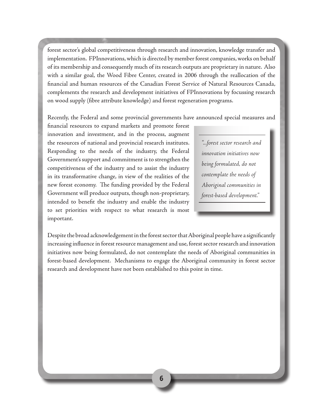forest sector's global competitiveness through research and innovation, knowledge transfer and implementation. FPInnovations, which is directed by member forest companies, works on behalf of its membership and consequently much of its research outputs are proprietary in nature. Also with a similar goal, the Wood Fibre Center, created in 2006 through the reallocation of the financial and human resources of the Canadian Forest Service of Natural Resources Canada, complements the research and development initiatives of FPInnovations by focussing research on wood supply (fibre attribute knowledge) and forest regeneration programs.

Recently, the Federal and some provincial governments have announced special measures and

financial resources to expand markets and promote forest innovation and investment, and in the process, augment the resources of national and provincial research institutes. Responding to the needs of the industry, the Federal Government's support and commitment is to strengthen the competitiveness of the industry and to assist the industry in its transformative change, in view of the realities of the new forest economy. The funding provided by the Federal Government will produce outputs, though non-proprietary, intended to benefit the industry and enable the industry to set priorities with respect to what research is most important.

*"...forest sector research and innovation initiatives now being formulated, do not contemplate the needs of Aboriginal communities in forest-based development."*

Despite the broad acknowledgement in the forest sector that Aboriginal people have a significantly increasing influence in forest resource management and use, forest sector research and innovation initiatives now being formulated, do not contemplate the needs of Aboriginal communities in forest-based development. Mechanisms to engage the Aboriginal community in forest sector research and development have not been established to this point in time.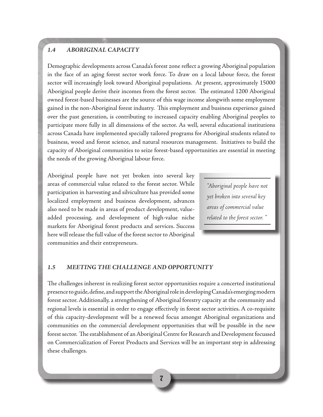## *1.4 ABORIGINAL CAPACITY*

Demographic developments across Canada's forest zone reflect a growing Aboriginal population in the face of an aging forest sector work force. To draw on a local labour force, the forest sector will increasingly look toward Aboriginal populations. At present, approximately 15000 Aboriginal people derive their incomes from the forest sector. The estimated 1200 Aboriginal owned forest-based businesses are the source of this wage income alongwith some employment gained in the non-Aboriginal forest industry. This employment and business experience gained over the past generation, is contributing to increased capacity enabling Aboriginal peoples to participate more fully in all dimensions of the sector. As well, several educational institutions across Canada have implemented specially tailored programs for Aboriginal students related to business, wood and forest science, and natural resources management. Initiatives to build the capacity of Aboriginal communities to seize forest-based opportunities are essential in meeting the needs of the growing Aboriginal labour force.

Aboriginal people have not yet broken into several key areas of commercial value related to the forest sector. While participation in harvesting and silviculture has provided some localized employment and business development, advances also need to be made in areas of product development, valueadded processing, and development of high-value niche markets for Aboriginal forest products and services. Success here will release the full value of the forest sector to Aboriginal communities and their entrepreneurs.

*"Aboriginal people have not yet broken into several key areas of commercial value related to the forest sector. "*

### *1.5 MEETING THE CHALLENGE AND OPPORTUNITY*

The challenges inherent in realizing forest sector opportunities require a concerted institutional presence to guide, define, and support the Aboriginal role in developing Canada's emerging modern forest sector. Additionally, a strengthening of Aboriginal forestry capacity at the community and regional levels is essential in order to engage effectively in forest sector activities. A co-requisite of this capacity-development will be a renewed focus amongst Aboriginal organizations and communities on the commercial development opportunities that will be possible in the new forest sector. The establishment of an Aboriginal Centre for Research and Development focussed on Commercialization of Forest Products and Services will be an important step in addressing these challenges.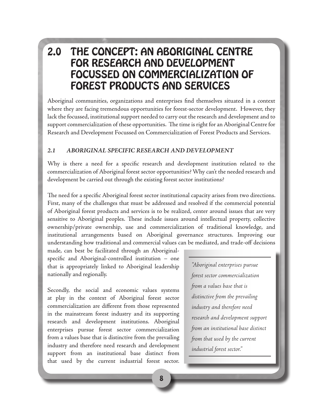## 2.0 THE CONCEPT: AN ABORIGINAL CENTRE FOR RESEARCH AND DEVELOPMENT FOCUSSED ON COMMERCIALIZATION OF FOREST PRODUCTS AND SERVICES

Aboriginal communities, organizations and enterprises find themselves situated in a context where they are facing tremendous opportunities for forest-sector development. However, they lack the focussed, institutional support needed to carry out the research and development and to support commercialization of these opportunities. The time is right for an Aboriginal Centre for Research and Development Focussed on Commercialization of Forest Products and Services.

### *2.1 ABORIGINAL SPECIFIC RESEARCH AND DEVELOPMENT*

Why is there a need for a specific research and development institution related to the commercialization of Aboriginal forest sector opportunities? Why can't the needed research and development be carried out through the existing forest sector institutions?

The need for a specific Aboriginal forest sector institutional capacity arises from two directions. First, many of the challenges that must be addressed and resolved if the commercial potential of Aboriginal forest products and services is to be realized, center around issues that are very sensitive to Aboriginal peoples. These include issues around intellectual property, collective ownership/private ownership, use and commercialization of traditional knowledge, and institutional arrangements based on Aboriginal governance structures. Improving our understanding how traditional and commercial values can be mediated, and trade-off decisions

made, can best be facilitated through an Aboriginalspecific and Aboriginal-controlled institution – one that is appropriately linked to Aboriginal leadership nationally and regionally.

Secondly, the social and economic values systems at play in the context of Aboriginal forest sector commercialization are different from those represented in the mainstream forest industry and its supporting research and development institutions. Aboriginal enterprises pursue forest sector commercialization from a values base that is distinctive from the prevailing industry and therefore need research and development support from an institutional base distinct from that used by the current industrial forest sector.

*"Aboriginal enterprises pursue forest sector commercialization from a values base that is distinctive from the prevailing industry and therefore need research and development support from an institutional base distinct from that used by the current industrial forest sector."*

8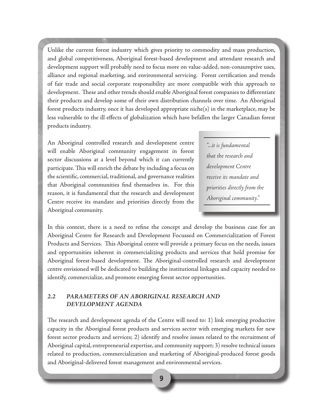Unlike the current forest industry which gives priority to commodity and mass production, and global competitiveness, Aboriginal forest-based development and attendant research and development support will probably need to focus more on value-added, non-consumptive uses, alliance and regional marketing, and environmental servicing. Forest certification and trends of fair trade and social corporate responsibility are more compatible with this approach to development. These and other trends should enable Aboriginal forest companies to differentiate their products and develop some of their own distribution channels over time. An Aboriginal forest products industry, once it has developed appropriate niche(s) in the marketplace, may be less vulnerable to the ill effects of globalization which have befallen the larger Canadian forest products industry.

An Aboriginal controlled research and development centre will enable Aboriginal community engagement in forest sector discussions at a level beyond which it can currently participate. This will enrich the debate by including a focus on the scientific, commercial, traditional, and governance realities that Aboriginal communities find themselves in. For this reason, it is fundamental that the research and development Centre receive its mandate and priorities directly from the Aboriginal community.

*"...it is fundamental that the research and development Centre receive its mandate and priorities directly from the Aboriginal community."*

In this context, there is a need to refine the concept and develop the business case for an Aboriginal Centre for Research and Development Focussed on Commercialization of Forest Products and Services. This Aboriginal centre will provide a primary focus on the needs, issues and opportunities inherent in commercializing products and services that hold promise for Aboriginal forest-based development. The Aboriginal-controlled research and development centre envisioned will be dedicated to building the institutional linkages and capacity needed to identify, commercialize, and promote emerging forest sector opportunities.

### *2.2 PARAMETERS OF AN ABORIGINAL RESEARCH AND DEVELOPMENT AGENDA*

The research and development agenda of the Centre will need to: 1) link emerging productive capacity in the Aboriginal forest products and services sector with emerging markets for new forest sector products and services; 2) identify and resolve issues related to the recruitment of Aboriginal capital, entrepreneurial expertise, and community support; 3) resolve technical issues related to production, commercialization and marketing of Aboriginal-produced forest goods and Aboriginal-delivered forest management and environmental services.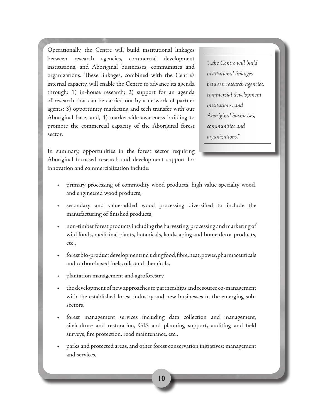Operationally, the Centre will build institutional linkages between research agencies, commercial development institutions, and Aboriginal businesses, communities and organizations. These linkages, combined with the Centre's internal capacity, will enable the Centre to advance its agenda through: 1) in-house research; 2) support for an agenda of research that can be carried out by a network of partner agents; 3) opportunity marketing and tech transfer with our Aboriginal base; and, 4) market-side awareness building to promote the commercial capacity of the Aboriginal forest sector.

In summary, opportunities in the forest sector requiring Aboriginal focussed research and development support for innovation and commercialization include:

*"...the Centre will build institutional linkages between research agencies, commercial development institutions, and Aboriginal businesses, communities and organizations."*

- primary processing of commodity wood products, high value specialty wood, and engineered wood products,
- secondary and value-added wood processing diversified to include the manufacturing of finished products,
- non-timber forest products including the harvesting, processing and marketing of wild foods, medicinal plants, botanicals, landscaping and home decor products, etc.,
- forestbio-product development includingfood, fibre, heat, power, pharmaceuticals and carbon-based fuels, oils, and chemicals,
- plantation management and agroforestry,
- the development of new approaches to partnerships and resource co-management with the established forest industry and new businesses in the emerging subsectors,
- forest management services including data collection and management, silviculture and restoration, GIS and planning support, auditing and field surveys, fire protection, road maintenance, etc.,
- parks and protected areas, and other forest conservation initiatives; management and services,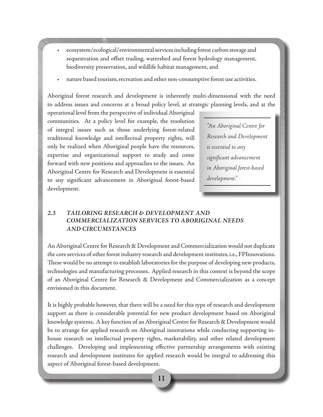- ecosystem/ecological/environmental services including forest carbon storage and sequestration and offset trading, watershed and forest hydrology management, biodiversity preservation, and wildlife habitat management, and
- nature based tourism, recreation and other non-consumptive forest use activities.

Aboriginal forest research and development is inherently multi-dimensional with the need to address issues and concerns at a broad policy level, at strategic planning levels, and at the

operational level from the perspective of individual Aboriginal communities. At a policy level for example, the resolution of integral issues such as those underlying forest-related traditional knowledge and intellectual property rights, will only be realized when Aboriginal people have the resources, expertise and organizational support to study and come forward with new positions and approaches to the issues. An Aboriginal Centre for Research and Development is essential to any significant advancement in Aboriginal forest-based development.

*"An Aboriginal Centre for Research and Development is essential to any significant advancement in Aboriginal forest-based development."*

## *2.3 TAILORING RESEARCH & DEVELOPMENT AND COMMERCIALIZATION SERVICES TO ABORIGINAL NEEDS AND CIRCUMSTANCES*

An Aboriginal Centre for Research & Development and Commercialization would not duplicate the core services of other forest industry research and development institutes, i.e., FPInnovations. These would be no attempt to establish laboratories for the purpose of developing new products, technologies and manufacturing processes. Applied research in this context is beyond the scope of an Aboriginal Centre for Research & Development and Commercialization as a concept envisioned in this document.

It is highly probable however, that there will be a need for this type of research and development support as there is considerable potential for new product development based on Aboriginal knowledge systems. A key function of an Aboriginal Centre for Research & Development would be to arrange for applied research on Aboriginal innovations while conducting supporting inhouse research on intellectual property rights, marketability, and other related development challenges. Developing and implementing effective partnership arrangements with existing research and development institutes for applied research would be integral to addressing this aspect of Aboriginal forest-based development.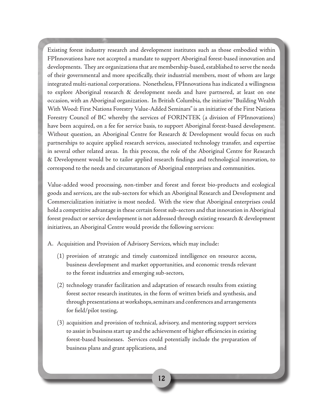Existing forest industry research and development institutes such as those embodied within FPInnovations have not accepted a mandate to support Aboriginal forest-based innovation and developments. They are organizations that are membership-based, established to serve the needs of their governmental and more specifically, their industrial members, most of whom are large integrated multi-national corporations. Nonetheless, FPInnovations has indicated a willingness to explore Aboriginal research & development needs and have partnered, at least on one occasion, with an Aboriginal organization. In British Columbia, the initiative "Building Wealth With Wood: First Nations Forestry Value-Added Seminars" is an initiative of the First Nations Forestry Council of BC whereby the services of FORINTEK (a division of FPInnovations) have been acquired, on a fee for service basis, to support Aboriginal forest-based development. Without question, an Aboriginal Centre for Research & Development would focus on such partnerships to acquire applied research services, associated technology transfer, and expertise in several other related areas. In this process, the role of the Aboriginal Centre for Research & Development would be to tailor applied research findings and technological innovation, to correspond to the needs and circumstances of Aboriginal enterprises and communities.

Value-added wood processing, non-timber and forest and forest bio-products and ecological goods and services, are the sub-sectors for which an Aboriginal Research and Development and Commercialization initiative is most needed. With the view that Aboriginal enterprises could hold a competitive advantage in these certain forest sub-sectors and that innovation in Aboriginal forest product or service development is not addressed through existing research & development initiatives, an Aboriginal Centre would provide the following services:

- A. Acquisition and Provision of Advisory Services, which may include:
	- (1) provision of strategic and timely customized intelligence on resource access, business development and market opportunities, and economic trends relevant to the forest industries and emerging sub-sectors,
	- (2) technology transfer facilitation and adaptation of research results from existing forest sector research institutes, in the form of written briefs and synthesis, and through presentations at workshops, seminars and conferences and arrangements for field/pilot testing,
	- (3) acquisition and provision of technical, advisory, and mentoring support services to assist in business start up and the achievement of higher efficiencies in existing forest-based businesses. Services could potentially include the preparation of business plans and grant applications, and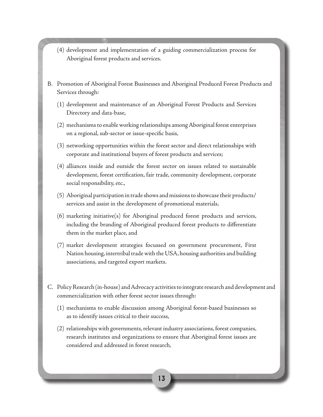- (4) development and implementation of a guiding commercialization process for Aboriginal forest products and services.
- B. Promotion of Aboriginal Forest Businesses and Aboriginal Produced Forest Products and Services through:
	- (1) development and maintenance of an Aboriginal Forest Products and Services Directory and data-base,
	- (2) mechanisms to enable working relationships among Aboriginal forest enterprises on a regional, sub-sector or issue-specific basis,
	- (3) networking opportunities within the forest sector and direct relationships with corporate and institutional buyers of forest products and services;
	- (4) alliances inside and outside the forest sector on issues related to sustainable development, forest certification, fair trade, community development, corporate social responsibility, etc.,
	- (5) Aboriginal participation in trade shows and missions to showcase their products/ services and assist in the development of promotional materials,
	- (6) marketing initiative(s) for Aboriginal produced forest products and services, including the branding of Aboriginal produced forest products to differentiate them in the market place, and
	- (7) market development strategies focussed on government procurement, First Nation housing, intertribal trade with the USA, housing authorities and building associations, and targeted export markets.
- C. Policy Research (in-house) and Advocacy activities to integrate research and development and commercialization with other forest sector issues through:
	- (1) mechanisms to enable discussion among Aboriginal forest-based businesses so as to identify issues critical to their success,
	- (2) relationships with governments, relevant industry associations, forest companies, research institutes and organizations to ensure that Aboriginal forest issues are considered and addressed in forest research,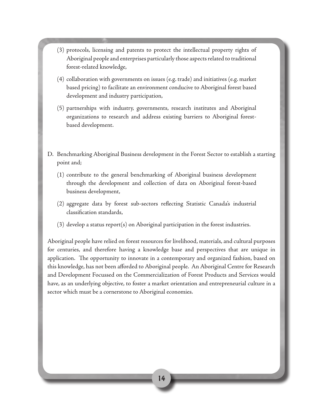- (3) protocols, licensing and patents to protect the intellectual property rights of Aboriginal people and enterprises particularly those aspects related to traditional forest-related knowledge,
- (4) collaboration with governments on issues (e.g. trade) and initiatives (e.g. market based pricing) to facilitate an environment conducive to Aboriginal forest based development and industry participation,
- (5) partnerships with industry, governments, research institutes and Aboriginal organizations to research and address existing barriers to Aboriginal forestbased development.
- D. Benchmarking Aboriginal Business development in the Forest Sector to establish a starting point and;
	- (1) contribute to the general benchmarking of Aboriginal business development through the development and collection of data on Aboriginal forest-based business development,
	- (2) aggregate data by forest sub-sectors reflecting Statistic Canada's industrial classification standards,
	- (3) develop a status report(s) on Aboriginal participation in the forest industries.

Aboriginal people have relied on forest resources for livelihood, materials, and cultural purposes for centuries, and therefore having a knowledge base and perspectives that are unique in application. The opportunity to innovate in a contemporary and organized fashion, based on this knowledge, has not been afforded to Aboriginal people. An Aboriginal Centre for Research and Development Focussed on the Commercialization of Forest Products and Services would have, as an underlying objective, to foster a market orientation and entrepreneurial culture in a sector which must be a cornerstone to Aboriginal economies.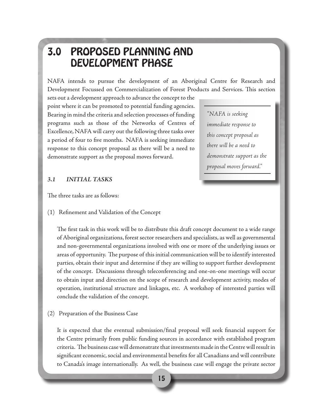## 3.0 PROPOSED PLANNING AND DEVELOPMENT PHASE

NAFA intends to pursue the development of an Aboriginal Centre for Research and Development Focussed on Commercialization of Forest Products and Services. This section

sets out a development approach to advance the concept to the point where it can be promoted to potential funding agencies. Bearing in mind the criteria and selection processes of funding programs such as those of the Networks of Centres of Excellence, NAFA will carry out the following three tasks over a period of four to five months. NAFA is seeking immediate response to this concept proposal as there will be a need to demonstrate support as the proposal moves forward.

*"NAFA is seeking immediate response to this concept proposal as there will be a need to demonstrate support as the proposal moves forward."*

### *3.1 INITIAL TASKS*

The three tasks are as follows:

(1) Refinement and Validation of the Concept

The first task in this work will be to distribute this draft concept document to a wide range of Aboriginal organizations, forest sector researchers and specialists, as well as governmental and non-governmental organizations involved with one or more of the underlying issues or areas of opportunity. The purpose of this initial communication will be to identify interested parties, obtain their input and determine if they are willing to support further development of the concept. Discussions through teleconferencing and one-on-one meetings will occur to obtain input and direction on the scope of research and development activity, modes of operation, institutional structure and linkages, etc. A workshop of interested parties will conclude the validation of the concept.

(2) Preparation of the Business Case

It is expected that the eventual submission/final proposal will seek financial support for the Centre primarily from public funding sources in accordance with established program criteria. The business case will demonstrate that investments made in the Centre will result in significant economic, social and environmental benefits for all Canadians and will contribute to Canada's image internationally. As well, the business case will engage the private sector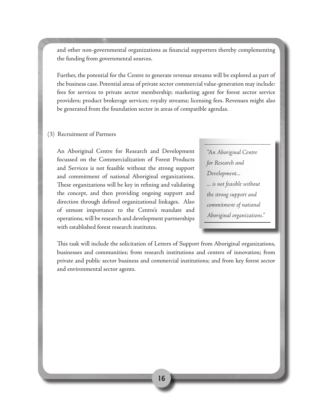and other non-governmental organizations as financial supporters thereby complementing the funding from governmental sources.

Further, the potential for the Centre to generate revenue streams will be explored as part of the business case. Potential areas of private sector commercial value-generation may include: fees for services to private sector membership; marketing agent for forest sector service providers; product brokerage services; royalty streams; licensing fees. Revenues might also be generated from the foundation sector in areas of compatible agendas.

#### (3) Recruitment of Partners

An Aboriginal Centre for Research and Development focussed on the Commercialization of Forest Products and Services is not feasible without the strong support and commitment of national Aboriginal organizations. These organizations will be key in refining and validating the concept, and then providing ongoing support and direction through defined organizational linkages. Also of utmost importance to the Centre's mandate and operations, will be research and development partnerships with established forest research institutes.

*"An Aboriginal Centre for Research and Development... ... is not feasible without the strong support and commitment of national Aboriginal organizations."*

This task will include the solicitation of Letters of Support from Aboriginal organizations, businesses and communities; from research institutions and centers of innovation; from private and public sector business and commercial institutions; and from key forest sector and environmental sector agents.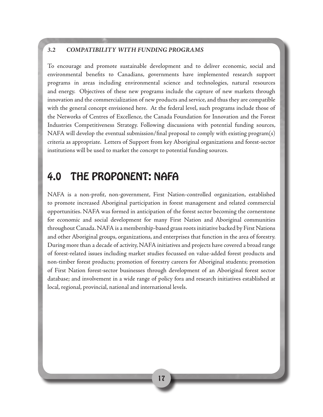### *3.2 COMPATIBILITY WITH FUNDING PROGRAMS*

To encourage and promote sustainable development and to deliver economic, social and environmental benefits to Canadians, governments have implemented research support programs in areas including environmental science and technologies, natural resources and energy. Objectives of these new programs include the capture of new markets through innovation and the commercialization of new products and service, and thus they are compatible with the general concept envisioned here. At the federal level, such programs include those of the Networks of Centres of Excellence, the Canada Foundation for Innovation and the Forest Industries Competitiveness Strategy. Following discussions with potential funding sources, NAFA will develop the eventual submission/final proposal to comply with existing program(s) criteria as appropriate. Letters of Support from key Aboriginal organizations and forest-sector institutions will be used to market the concept to potential funding sources.

## 4.0 THE PROPONENT: NAFA

NAFA is a non-profit, non-government, First Nation-controlled organization, established to promote increased Aboriginal participation in forest management and related commercial opportunities. NAFA was formed in anticipation of the forest sector becoming the cornerstone for economic and social development for many First Nation and Aboriginal communities throughout Canada. NAFA is a membership-based grass roots initiative backed by First Nations and other Aboriginal groups, organizations, and enterprises that function in the area of forestry. During more than a decade of activity, NAFA initiatives and projects have covered a broad range of forest-related issues including market studies focussed on value-added forest products and non-timber forest products; promotion of forestry careers for Aboriginal students; promotion of First Nation forest-sector businesses through development of an Aboriginal forest sector database; and involvement in a wide range of policy fora and research initiatives established at local, regional, provincial, national and international levels.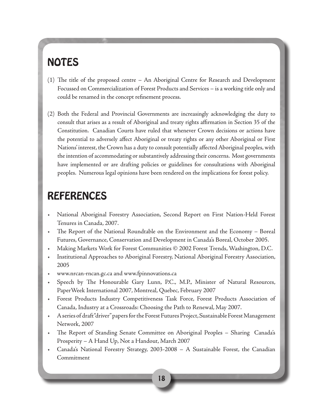## NOTES

- (1) The title of the proposed centre An Aboriginal Centre for Research and Development Focussed on Commercialization of Forest Products and Services – is a working title only and could be renamed in the concept refinement process.
- (2) Both the Federal and Provincial Governments are increasingly acknowledging the duty to consult that arises as a result of Aboriginal and treaty rights affirmation in Section 35 of the Constitution. Canadian Courts have ruled that whenever Crown decisions or actions have the potential to adversely affect Aboriginal or treaty rights or any other Aboriginal or First Nations' interest, the Crown has a duty to consult potentially affected Aboriginal peoples, with the intention of accommodating or substantively addressing their concerns. Most governments have implemented or are drafting policies or guidelines for consultations with Aboriginal peoples. Numerous legal opinions have been rendered on the implications for forest policy.

## REFERENCES

- National Aboriginal Forestry Association, Second Report on First Nation-Held Forest Tenures in Canada, 2007.
- The Report of the National Roundtable on the Environment and the Economy Boreal Futures, Governance, Conservation and Development in Canada's Boreal, October 2005.
- Making Markets Work for Forest Communities © 2002 Forest Trends, Washington, D.C.
- Institutional Approaches to Aboriginal Forestry, National Aboriginal Forestry Association, 2005
- www.nrcan-rncan.gc.ca and www.fpinnovations.ca
- Speech by The Honourable Gary Lunn, P.C., M.P., Minister of Natural Resources, PaperWeek International 2007, Montreal, Quebec, February 2007
- Forest Products Industry Competitiveness Task Force, Forest Products Association of Canada, Industry at a Crossroads: Choosing the Path to Renewal, May 2007.
- A series of draft "driver" papers for the Forest Futures Project, Sustainable Forest Management Network, 2007
- The Report of Standing Senate Committee on Aboriginal Peoples Sharing Canada's Prosperity – A Hand Up, Not a Handout, March 2007
- Canada's National Forestry Strategy, 2003-2008 A Sustainable Forest, the Canadian Commitment